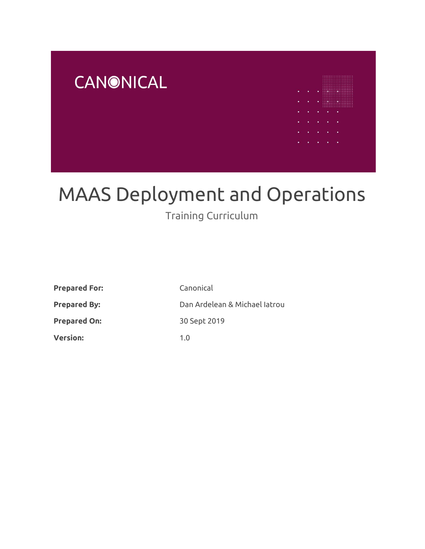

# MAAS Deployment and Operations

# Training Curriculum

| <b>Prepared For:</b> | Canonical                     |
|----------------------|-------------------------------|
| <b>Prepared By:</b>  | Dan Ardelean & Michael Iatrou |
| <b>Prepared On:</b>  | 30 Sept 2019                  |
| <b>Version:</b>      | 1.0                           |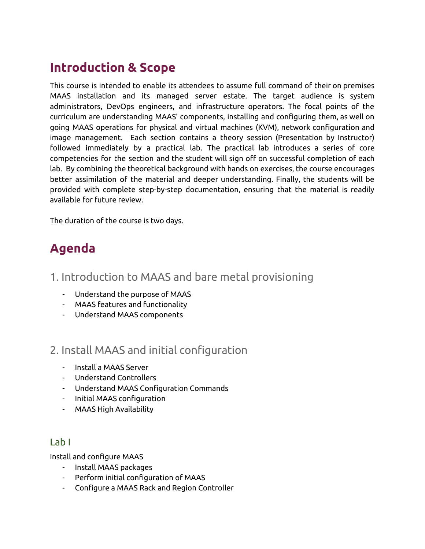# **Introduction & Scope**

This course is intended to enable its attendees to assume full command of their on premises MAAS installation and its managed server estate. The target audience is system administrators, DevOps engineers, and infrastructure operators. The focal points of the curriculum are understanding MAAS' components, installing and configuring them, as well on going MAAS operations for physical and virtual machines (KVM), network configuration and image management. Each section contains a theory session (Presentation by Instructor) followed immediately by a practical lab. The practical lab introduces a series of core competencies for the section and the student will sign off on successful completion of each lab. By combining the theoretical background with hands on exercises, the course encourages better assimilation of the material and deeper understanding. Finally, the students will be provided with complete step-by-step documentation, ensuring that the material is readily available for future review.

The duration of the course is two days.

# **Agenda**

- 1. Introduction to MAAS and bare metal provisioning
	- Understand the purpose of MAAS
	- MAAS features and functionality
	- Understand MAAS components

# 2. Install MAAS and initial configuration

- Install a MAAS Server
- Understand Controllers
- Understand MAAS Configuration Commands
- Initial MAAS configuration
- MAAS High Availability

#### Lab I

Install and configure MAAS

- Install MAAS packages
- Perform initial configuration of MAAS
- Configure a MAAS Rack and Region Controller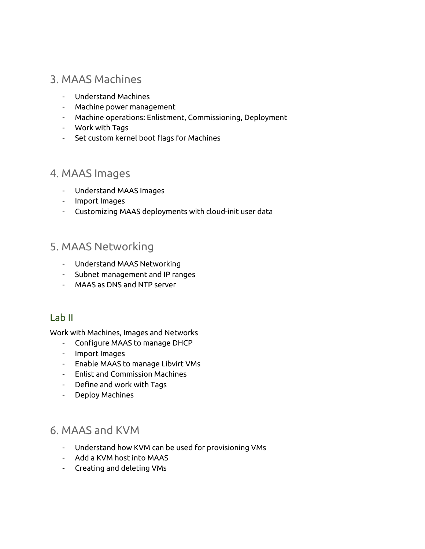# 3. MAAS Machines

- Understand Machines
- Machine power management
- Machine operations: Enlistment, Commissioning, Deployment
- Work with Tags
- Set custom kernel boot flags for Machines

## 4. MAAS Images

- Understand MAAS Images
- Import Images
- Customizing MAAS deployments with cloud-init user data

# 5. MAAS Networking

- Understand MAAS Networking
- Subnet management and IP ranges
- MAAS as DNS and NTP server

#### Lab II

Work with Machines, Images and Networks

- Configure MAAS to manage DHCP
- Import Images
- Enable MAAS to manage Libvirt VMs
- Enlist and Commission Machines
- Define and work with Tags
- Deploy Machines

# 6. MAAS and KVM

- Understand how KVM can be used for provisioning VMs
- Add a KVM host into MAAS
- Creating and deleting VMs